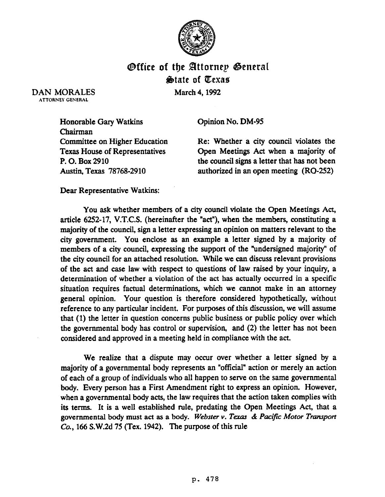

## **Office of the Attornep General** State of Texas

DAN MORALES ATTORNEY GENERAL

March 4,1992

Opinion No. DM-95

Honorable Gary Watkins Chairman Committee on Higher Education Texas House of Representatives P. 0. Box 2910 Austin, Texas 78768-2910

Re: Whether a city council violates the Qpen Meetings Act when a majority of the council signs a letter that has not been authorized in an open meeting (RQ-252)

Dear Representative Watkins:

You ask whether members of a city council violate the Qpen Meetings Act, article 6252-17, V.T.C.S. (hereinafter the "act"), when the members, constituting a majority of the council, sign a letter expressing an opinion on matters relevant to the city government. You enclose as an example a letter signed by a majority of members of a city council, expressing the support of the "undersigned majority" of the city council for an attached resolution. While we can discuss relevant provisions of the act and case law with respect to questions of law raised by your inquiry, a determination of whether a violation of the act has actually occurred in a specific situation requires factual determinations, which we cannot make in an attorney general opinion. Your question is therefore considered hypothetically, without reference to any particular incident. For purposes of this discussion, we will assume that (1) the letter in question concerns public business or public policy over which the governmental body has control or supervision, and (2) the letter has not been considered and approved in a meeting held in compliance with the act.

We realize that a dispute may occur over whether a letter signed by a majority of a governmental body represents an "official" action or merely an action of each of a group of individuals who all happen to serve on the same governmental body. Every person has a First Amendment right to express an opinion. However, when a governmental body acts, the law requires that the action taken complies with its terms. It is a well established rule, predating the Qpen Meetings Act, that a governmental body must act as a body. Webster v. Texas & Pacific Motor Transport Co., 166 S.W.2d 75 (Tex. 1942). The purpose of this rule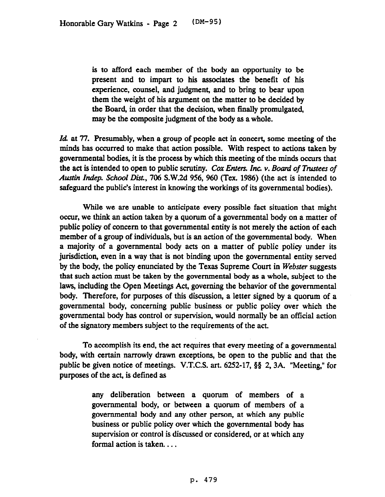is to afford each member of the body an opportunity to be present and to impart to his associates the benefit of his experience, counsel, and judgment, and to bring to bear upon them the weight of his argument on the matter to be decided by the Board, in order that the decision, when finally promulgated, may be the composite judgment of the body as a whole.

Id at 77. Presumably, when a group of people act in *concert,* some *meeting* of the minds has occurred to make that action possible. With respect to actions taken by governmental bodies, it is the process by which this meeting of the minds occurs that the act is intended to open to public scrutiny. Car *Enters. Inc. v. Board of Ttzutees of*  Austin *Indep. School Dist.*, 706 S.W.2d 956, 960 (Tex. 1986) (the act is intended to safeguard the public's interest in knowing the workings of its governmental bodies).

While we are unable to anticipate every possible fact situation that might occur, we think an action taken by a quorum of a governmental body on a matter of public policy of concern to that governmental entity is not merely the action of each member of a group of individuals, but is an action of the governmental body. When a majority of a governmental body acts on a matter of public policy under its jurisdiction, even in a way that is not binding upon the governmental entity served by the body, the policy enunciated by the Texas Supreme *Court in Webster* suggests that such action must be taken by the governmental body as a whole, subject to the laws, including the Gpen Meetings Act, governing the behavior of the governmental body. Therefore, for purposes of this discussion, a letter signed by a quorum of a governmental body, concerning public business or public policy over which the governmental body has control or supervision, would normally be an official action of the signatory members subject to the requirements of the act.

To accomplish its end, the act requires that every meeting of a governmental body, with certain narrowly drawn exceptions, be open to the public and that the public be given notice of meetings. V.T.C.S. art. 6252-17, §§ 2, 3A. "Meeting," for purposes of the act, is defined as

> any deliberation between a quorum of members of a governmental body, or between a quorum of members of a governmental body and any other person, at which any public business or public policy over which the governmental body has supervision or control is discussed or considered, or at which any formal action is taken. . . .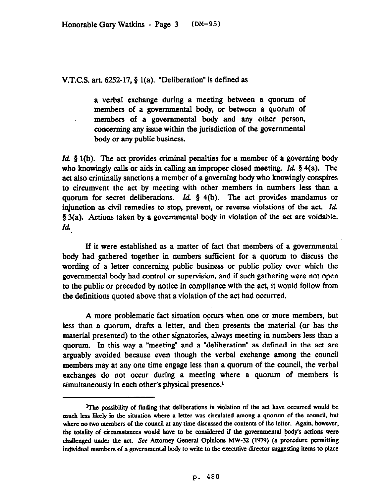V.T.C.S. art.  $6252-17$ , § 1(a). "Deliberation" is defined as

a verbal exchange during a meeting between a quorum of members of a governmental body, or between a quorum of members of a governmental body and any other person, concerning any issue within the jurisdiction of the governmental body or any public business.

Id  $\zeta$  1(b). The act provides criminal penalties for a member of a governing body who knowingly calls or aids in calling an improper closed meeting. Id.  $\S$  4(a). The act also criminally sanctions a member of a governing body who knowingly conspires to circumvent the act by meeting with other members in numbers less than a quorum for secret deliberations. Id.  $\S$  4(b). The act provides mandamus or injunction as civil remedies to stop, prevent, or reverse violations of the act. Id. 5 3(a). Actions taken by a governmental body in violation of the act are voidable. Id

If it were established as a matter of fact that members of a governmental body had gathered together in numbers sufficient for a quorum to discuss the wording of a letter concerning public business or public policy over which the governmental body had control or supervision, and if such gathering were not open to the public or preceded by notice in compliance with the act, it would follow from the definitions quoted above that a violation of the act had occurred.

A more problematic fact situation occurs when one or more members, but less than a quorum, drafts a letter, and then presents the material (or has the material presented) to the other signatories, always meeting in numbers less than a quorum. In this way a "meeting" and a "deliberation" as defined in the act are arguably avoided because even though the verbal exchange among the council members may at any one time engage less than a quorum of the council, the verbal exchanges do not occur during a meeting where a quorum of members is simultaneously in each other's physical presence.<sup>1</sup>

**IThe possibiity of fmdiog that deliberations ia violation of the act have occurred would be much less likely ia the situation where a letter was circulated among a quorum of the council, but where no two members of the council at any time discussed the contents of the letter. Agaia, however,**  the totality of circumstances would have to be considered if the governmental body's actions were challenged under the act. See Attorney General Opinions MW-32 (1979) (a procedure permitting **individual members of a governmental body to write to the executive director suggesting items to place**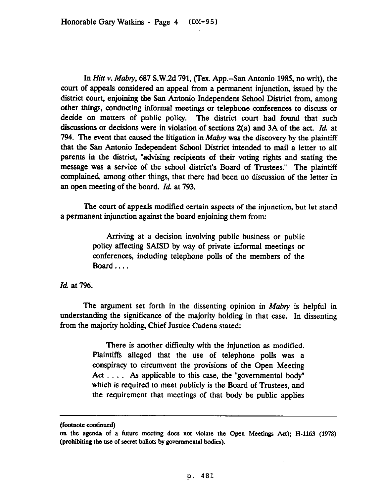In *Hitt* v. *Mabv,* 687 S.W.2d 791. (Tex. App.--San Antonio 1985, no writ), the court of appeals considered an appeal from a permanent injunction, issued by the district court, enjoining the San Antonio Independent School District from, among other things, conducting informal meetings or telephone conferences to discuss or decide on matters of public policy. The district court had found that such discussions or decisions were in violation of sections 2(a) and 3A of the act. Id. at 794. The event that caused the litigation in *Mabry* was the discovery by the plaintiff that the San Antonio Independent School District intended to mail a letter to all parents in the district, "advising recipients of their voting rights and stating the message was a service of the school district's Board of Trustees." The plaintiff complained, among other things, that there had been no discussion of the letter in an open meeting of the board. Id. at 793.

The court of appeals modified certain aspects of the injunction, but let stand a permanent injunction against the board enjoining them from:

> Arriving at a decision involving public business or public policy affecting SAISD by way of private informal meetings or conferences, including telephone polls of the members of the Board . . . .

Id. at 796.

The argument set forth in the dissenting opinion in Mabry is helpful in understanding the significance of the majority holding in that case. In dissenting from the majority holding, Chief Justice Cadena stated:

> There is another difficulty with the injunction as modified. Plaintiffs alleged that the use of telephone polls was a conspiracy to circumvent the provisions of the Open Meeting Act . . . . As applicable to this case, the "governmental body" which is required to meet publicly is the Board of Trustees, and the requirement that meetings of that body be public applies

**<sup>(</sup>footnote contimlcd)** 

oa the. agenda **of a future** meeting **does not violate the Open Meetings Act); H-1163 (1978) (prohibiting the use of secret ballots by governmental bodies).**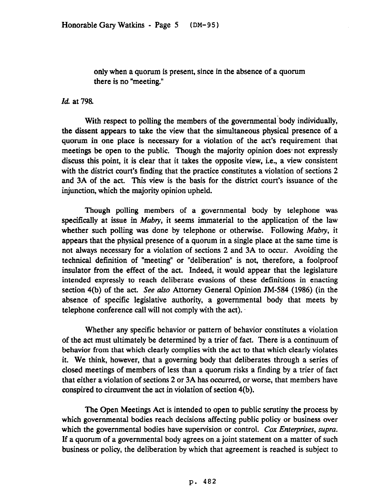only when a quorum is present, since in the absence of a quorum there is no "meeting."

Id. at 798.

With respect to polling the members of the governmental body individually, the dissent appears to take the view that the simultaneous physical presence of a quorum in one place is necessary for a violation of the act's requirement that meetings be open to the public. Though the majority opinion does not expressly discuss this point, it is clear that it takes the opposite view, i.e., a view consistent with the district court's finding that the practice constitutes a violation of sections 2 and 3A of the act. This view is the basis for the district court's issuance of the injunction, which the majority opinion upheld.

Though polling members of a governmental body by telephone was specifically at issue in *Mabry*, it seems immaterial to the application of the law whether such polling was done by telephone or otherwise. Following *Mabry,* it appears that the physical presence of a quorum in a single place at the same time is not always necessary for a violation of sections 2 and 3A to occur. Avoiding the technical definition of "meeting" or "deliberation" is not, therefore, a foolproof insulator from the effect of the act. Indeed, it would appear that the legislature intended expressly to reach deliberate evasions of these definitions in enacting section 4(b) of the act. See also Attorney General Opinion JM-584 (1986) (in the absence of specific legislative authority, a governmental body that meets by telephone conference call will not comply with the act).

Whether any specific behavior or pattern of behavior constitutes a violation of the act must ultimately be determined by a trier of fact. There is a continuum of behavior from that which clearly complies with the act to that which clearly violates it. We think, however, that a governing body that deliberates through a series of closed meetings of members of less than a quorum risks a finding by a trier of fact that either a violation of sections 2 or 3A has occurred, or worse, that members have conspired to circumvent the act in violation of section 4(b).

The Open Meetings Act is intended to open to public scrutiny the process by which governmental bodies reach decisions affecting public policy or business over which the governmental bodies have supervision or control. *Cox Enterprises, supra.* If a quorum of a governmental body agrees on a joint statement on a matter of such business or policy, the deliberation by which that agreement is reached is subject to